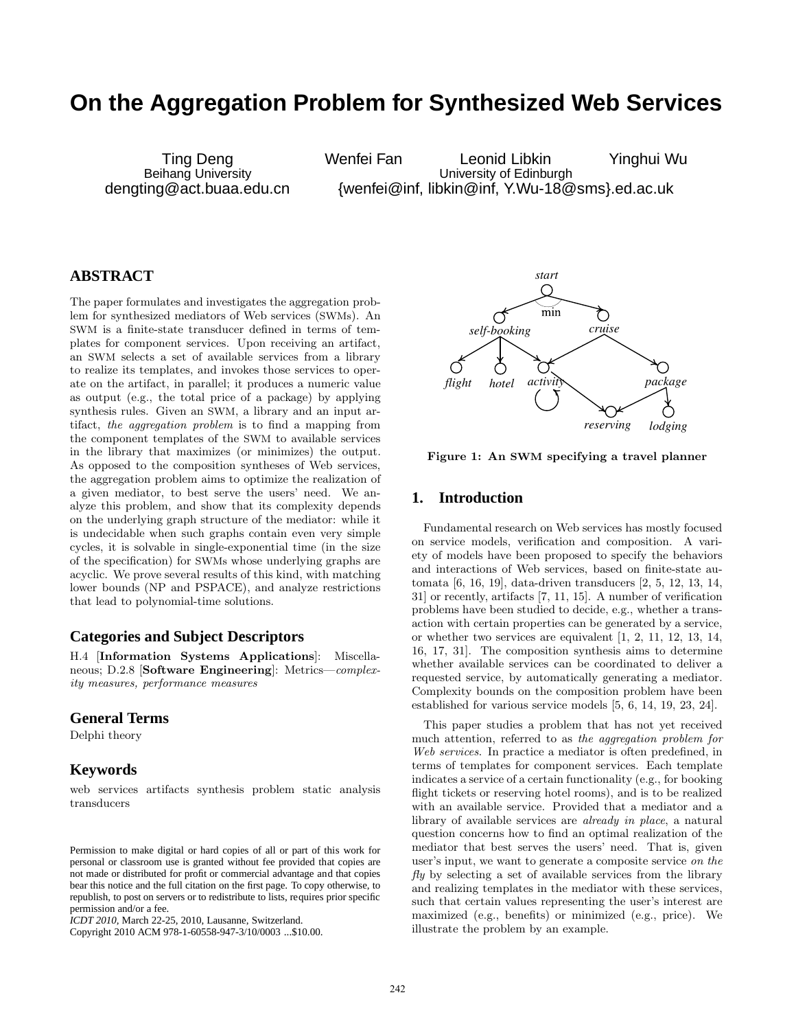# **On the Aggregation Problem for Synthesized Web Services**

Ting Deng Beihang University dengting@act.buaa.edu.cn Wenfei Fan Leonid Libkin Yinghui Wu University of Edinburgh {wenfei@inf, libkin@inf, Y.Wu-18@sms}.ed.ac.uk

## **ABSTRACT**

The paper formulates and investigates the aggregation problem for synthesized mediators of Web services (SWMs). An SWM is a finite-state transducer defined in terms of templates for component services. Upon receiving an artifact, an SWM selects a set of available services from a library to realize its templates, and invokes those services to operate on the artifact, in parallel; it produces a numeric value as output (e.g., the total price of a package) by applying synthesis rules. Given an SWM, a library and an input artifact, the aggregation problem is to find a mapping from the component templates of the SWM to available services in the library that maximizes (or minimizes) the output. As opposed to the composition syntheses of Web services, the aggregation problem aims to optimize the realization of a given mediator, to best serve the users' need. We analyze this problem, and show that its complexity depends on the underlying graph structure of the mediator: while it is undecidable when such graphs contain even very simple cycles, it is solvable in single-exponential time (in the size of the specification) for SWMs whose underlying graphs are acyclic. We prove several results of this kind, with matching lower bounds (NP and PSPACE), and analyze restrictions that lead to polynomial-time solutions.

## **Categories and Subject Descriptors**

H.4 [Information Systems Applications]: Miscellaneous; D.2.8 [Software Engineering]: Metrics—complexity measures, performance measures

#### **General Terms**

Delphi theory

#### **Keywords**

web services artifacts synthesis problem static analysis transducers



Figure 1: An SWM specifying a travel planner

#### **1. Introduction**

Fundamental research on Web services has mostly focused on service models, verification and composition. A variety of models have been proposed to specify the behaviors and interactions of Web services, based on finite-state automata [6, 16, 19], data-driven transducers [2, 5, 12, 13, 14, 31] or recently, artifacts [7, 11, 15]. A number of verification problems have been studied to decide, e.g., whether a transaction with certain properties can be generated by a service, or whether two services are equivalent [1, 2, 11, 12, 13, 14, 16, 17, 31]. The composition synthesis aims to determine whether available services can be coordinated to deliver a requested service, by automatically generating a mediator. Complexity bounds on the composition problem have been established for various service models [5, 6, 14, 19, 23, 24].

This paper studies a problem that has not yet received much attention, referred to as the aggregation problem for Web services. In practice a mediator is often predefined, in terms of templates for component services. Each template indicates a service of a certain functionality (e.g., for booking flight tickets or reserving hotel rooms), and is to be realized with an available service. Provided that a mediator and a library of available services are already in place, a natural question concerns how to find an optimal realization of the mediator that best serves the users' need. That is, given user's input, we want to generate a composite service on the  $fly$  by selecting a set of available services from the library and realizing templates in the mediator with these services, such that certain values representing the user's interest are maximized (e.g., benefits) or minimized (e.g., price). We illustrate the problem by an example.

Permission to make digital or hard copies of all or part of this work for personal or classroom use is granted without fee provided that copies are not made or distributed for profit or commercial advantage and that copies bear this notice and the full citation on the first page. To copy otherwise, to republish, to post on servers or to redistribute to lists, requires prior specific permission and/or a fee.

*ICDT 2010,* March 22-25, 2010, Lausanne, Switzerland.

Copyright 2010 ACM 978-1-60558-947-3/10/0003 ...\$10.00.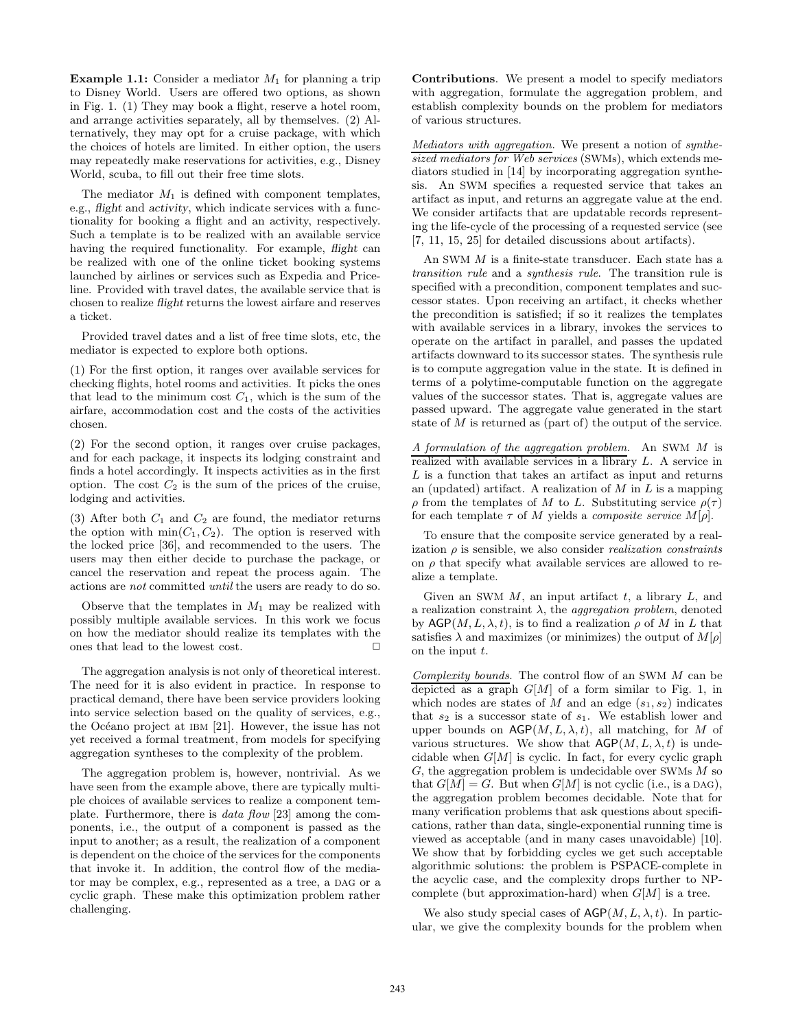**Example 1.1:** Consider a mediator  $M_1$  for planning a trip to Disney World. Users are offered two options, as shown in Fig. 1. (1) They may book a flight, reserve a hotel room, and arrange activities separately, all by themselves. (2) Alternatively, they may opt for a cruise package, with which the choices of hotels are limited. In either option, the users may repeatedly make reservations for activities, e.g., Disney World, scuba, to fill out their free time slots.

The mediator  $M_1$  is defined with component templates, e.g., flight and activity, which indicate services with a functionality for booking a flight and an activity, respectively. Such a template is to be realized with an available service having the required functionality. For example, flight can be realized with one of the online ticket booking systems launched by airlines or services such as Expedia and Priceline. Provided with travel dates, the available service that is chosen to realize flight returns the lowest airfare and reserves a ticket.

Provided travel dates and a list of free time slots, etc, the mediator is expected to explore both options.

(1) For the first option, it ranges over available services for checking flights, hotel rooms and activities. It picks the ones that lead to the minimum cost  $C_1$ , which is the sum of the airfare, accommodation cost and the costs of the activities chosen.

(2) For the second option, it ranges over cruise packages, and for each package, it inspects its lodging constraint and finds a hotel accordingly. It inspects activities as in the first option. The cost  $C_2$  is the sum of the prices of the cruise, lodging and activities.

(3) After both  $C_1$  and  $C_2$  are found, the mediator returns the option with  $\min(C_1, C_2)$ . The option is reserved with the locked price [36], and recommended to the users. The users may then either decide to purchase the package, or cancel the reservation and repeat the process again. The actions are not committed until the users are ready to do so.

Observe that the templates in  $M_1$  may be realized with possibly multiple available services. In this work we focus on how the mediator should realize its templates with the ones that lead to the lowest cost.  $\Box$ 

The aggregation analysis is not only of theoretical interest. The need for it is also evident in practice. In response to practical demand, there have been service providers looking into service selection based on the quality of services, e.g., the Océano project at  $IBM$  [21]. However, the issue has not yet received a formal treatment, from models for specifying aggregation syntheses to the complexity of the problem.

The aggregation problem is, however, nontrivial. As we have seen from the example above, there are typically multiple choices of available services to realize a component template. Furthermore, there is data flow [23] among the components, i.e., the output of a component is passed as the input to another; as a result, the realization of a component is dependent on the choice of the services for the components that invoke it. In addition, the control flow of the mediator may be complex, e.g., represented as a tree, a DAG or a cyclic graph. These make this optimization problem rather challenging.

Contributions. We present a model to specify mediators with aggregation, formulate the aggregation problem, and establish complexity bounds on the problem for mediators of various structures.

Mediators with aggregation. We present a notion of synthesized mediators for Web services (SWMs), which extends mediators studied in [14] by incorporating aggregation synthesis. An SWM specifies a requested service that takes an artifact as input, and returns an aggregate value at the end. We consider artifacts that are updatable records representing the life-cycle of the processing of a requested service (see [7, 11, 15, 25] for detailed discussions about artifacts).

An SWM  $M$  is a finite-state transducer. Each state has a transition rule and a synthesis rule. The transition rule is specified with a precondition, component templates and successor states. Upon receiving an artifact, it checks whether the precondition is satisfied; if so it realizes the templates with available services in a library, invokes the services to operate on the artifact in parallel, and passes the updated artifacts downward to its successor states. The synthesis rule is to compute aggregation value in the state. It is defined in terms of a polytime-computable function on the aggregate values of the successor states. That is, aggregate values are passed upward. The aggregate value generated in the start state of M is returned as (part of) the output of the service.

A formulation of the aggregation problem. An SWM M is realized with available services in a library L. A service in L is a function that takes an artifact as input and returns an (updated) artifact. A realization of  $M$  in  $L$  is a mapping  $\rho$  from the templates of M to L. Substituting service  $\rho(\tau)$ for each template  $\tau$  of M yields a *composite service*  $M[\rho]$ .

To ensure that the composite service generated by a realization  $\rho$  is sensible, we also consider *realization constraints* on  $\rho$  that specify what available services are allowed to realize a template.

Given an SWM  $M$ , an input artifact  $t$ , a library  $L$ , and a realization constraint  $\lambda$ , the *aggregation problem*, denoted by  $AGP(M, L, \lambda, t)$ , is to find a realization  $\rho$  of M in L that satisfies  $\lambda$  and maximizes (or minimizes) the output of  $M[\rho]$ on the input  $t$ .

Complexity bounds. The control flow of an SWM M can be depicted as a graph  $G[M]$  of a form similar to Fig. 1, in which nodes are states of M and an edge  $(s_1, s_2)$  indicates that  $s_2$  is a successor state of  $s_1$ . We establish lower and upper bounds on  $\mathsf{AGP}(M, L, \lambda, t)$ , all matching, for M of various structures. We show that  $AGP(M, L, \lambda, t)$  is undecidable when  $G[M]$  is cyclic. In fact, for every cyclic graph  $G$ , the aggregation problem is undecidable over SWMs  $M$  so that  $G[M] = G$ . But when  $G[M]$  is not cyclic (i.e., is a DAG), the aggregation problem becomes decidable. Note that for many verification problems that ask questions about specifications, rather than data, single-exponential running time is viewed as acceptable (and in many cases unavoidable) [10]. We show that by forbidding cycles we get such acceptable algorithmic solutions: the problem is PSPACE-complete in the acyclic case, and the complexity drops further to NPcomplete (but approximation-hard) when  $G[M]$  is a tree.

We also study special cases of  $AGP(M, L, \lambda, t)$ . In particular, we give the complexity bounds for the problem when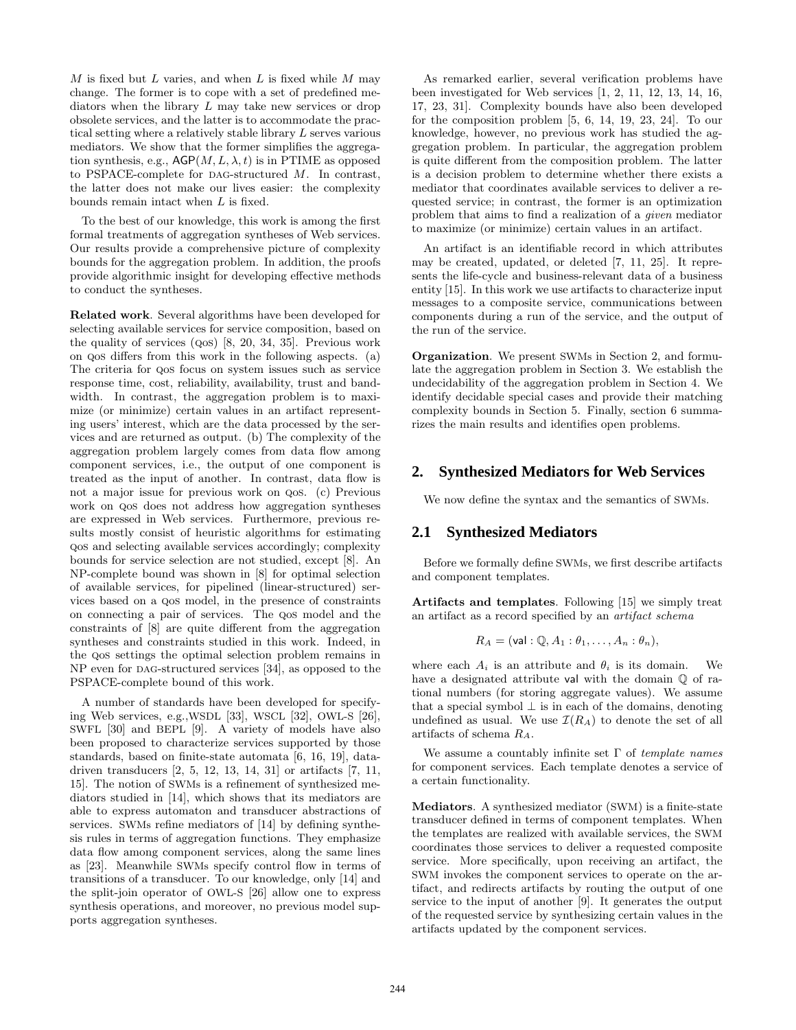$M$  is fixed but  $L$  varies, and when  $L$  is fixed while  $M$  may change. The former is to cope with a set of predefined mediators when the library L may take new services or drop obsolete services, and the latter is to accommodate the practical setting where a relatively stable library L serves various mediators. We show that the former simplifies the aggregation synthesis, e.g.,  $AGP(M, L, \lambda, t)$  is in PTIME as opposed to PSPACE-complete for DAG-structured  $M$ . In contrast, the latter does not make our lives easier: the complexity bounds remain intact when L is fixed.

To the best of our knowledge, this work is among the first formal treatments of aggregation syntheses of Web services. Our results provide a comprehensive picture of complexity bounds for the aggregation problem. In addition, the proofs provide algorithmic insight for developing effective methods to conduct the syntheses.

Related work. Several algorithms have been developed for selecting available services for service composition, based on the quality of services (qos) [8, 20, 34, 35]. Previous work on qos differs from this work in the following aspects. (a) The criteria for qos focus on system issues such as service response time, cost, reliability, availability, trust and bandwidth. In contrast, the aggregation problem is to maximize (or minimize) certain values in an artifact representing users' interest, which are the data processed by the services and are returned as output. (b) The complexity of the aggregation problem largely comes from data flow among component services, i.e., the output of one component is treated as the input of another. In contrast, data flow is not a major issue for previous work on qos. (c) Previous work on qos does not address how aggregation syntheses are expressed in Web services. Furthermore, previous results mostly consist of heuristic algorithms for estimating qos and selecting available services accordingly; complexity bounds for service selection are not studied, except [8]. An NP-complete bound was shown in [8] for optimal selection of available services, for pipelined (linear-structured) services based on a qos model, in the presence of constraints on connecting a pair of services. The qos model and the constraints of [8] are quite different from the aggregation syntheses and constraints studied in this work. Indeed, in the qos settings the optimal selection problem remains in NP even for DAG-structured services [34], as opposed to the PSPACE-complete bound of this work.

A number of standards have been developed for specifying Web services, e.g.,WSDL [33], WSCL [32], OWL-S [26], SWFL [30] and BEPL [9]. A variety of models have also been proposed to characterize services supported by those standards, based on finite-state automata [6, 16, 19], datadriven transducers [2, 5, 12, 13, 14, 31] or artifacts [7, 11, 15]. The notion of SWMs is a refinement of synthesized mediators studied in [14], which shows that its mediators are able to express automaton and transducer abstractions of services. SWMs refine mediators of [14] by defining synthesis rules in terms of aggregation functions. They emphasize data flow among component services, along the same lines as [23]. Meanwhile SWMs specify control flow in terms of transitions of a transducer. To our knowledge, only [14] and the split-join operator of OWL-S [26] allow one to express synthesis operations, and moreover, no previous model supports aggregation syntheses.

As remarked earlier, several verification problems have been investigated for Web services [1, 2, 11, 12, 13, 14, 16, 17, 23, 31]. Complexity bounds have also been developed for the composition problem [5, 6, 14, 19, 23, 24]. To our knowledge, however, no previous work has studied the aggregation problem. In particular, the aggregation problem is quite different from the composition problem. The latter is a decision problem to determine whether there exists a mediator that coordinates available services to deliver a requested service; in contrast, the former is an optimization problem that aims to find a realization of a given mediator to maximize (or minimize) certain values in an artifact.

An artifact is an identifiable record in which attributes may be created, updated, or deleted [7, 11, 25]. It represents the life-cycle and business-relevant data of a business entity [15]. In this work we use artifacts to characterize input messages to a composite service, communications between components during a run of the service, and the output of the run of the service.

Organization. We present SWMs in Section 2, and formulate the aggregation problem in Section 3. We establish the undecidability of the aggregation problem in Section 4. We identify decidable special cases and provide their matching complexity bounds in Section 5. Finally, section 6 summarizes the main results and identifies open problems.

## **2. Synthesized Mediators for Web Services**

We now define the syntax and the semantics of SWMs.

# **2.1 Synthesized Mediators**

Before we formally define SWMs, we first describe artifacts and component templates.

Artifacts and templates. Following [15] we simply treat an artifact as a record specified by an artifact schema

$$
R_A = (\mathsf{val} : \mathbb{Q}, A_1 : \theta_1, \dots, A_n : \theta_n),
$$

where each  $A_i$  is an attribute and  $\theta_i$  is its domain. have a designated attribute val with the domain Q of rational numbers (for storing aggregate values). We assume that a special symbol  $\perp$  is in each of the domains, denoting undefined as usual. We use  $\mathcal{I}(R_A)$  to denote the set of all artifacts of schema  $R_A$ .

We assume a countably infinite set  $\Gamma$  of template names for component services. Each template denotes a service of a certain functionality.

Mediators. A synthesized mediator (SWM) is a finite-state transducer defined in terms of component templates. When the templates are realized with available services, the SWM coordinates those services to deliver a requested composite service. More specifically, upon receiving an artifact, the SWM invokes the component services to operate on the artifact, and redirects artifacts by routing the output of one service to the input of another [9]. It generates the output of the requested service by synthesizing certain values in the artifacts updated by the component services.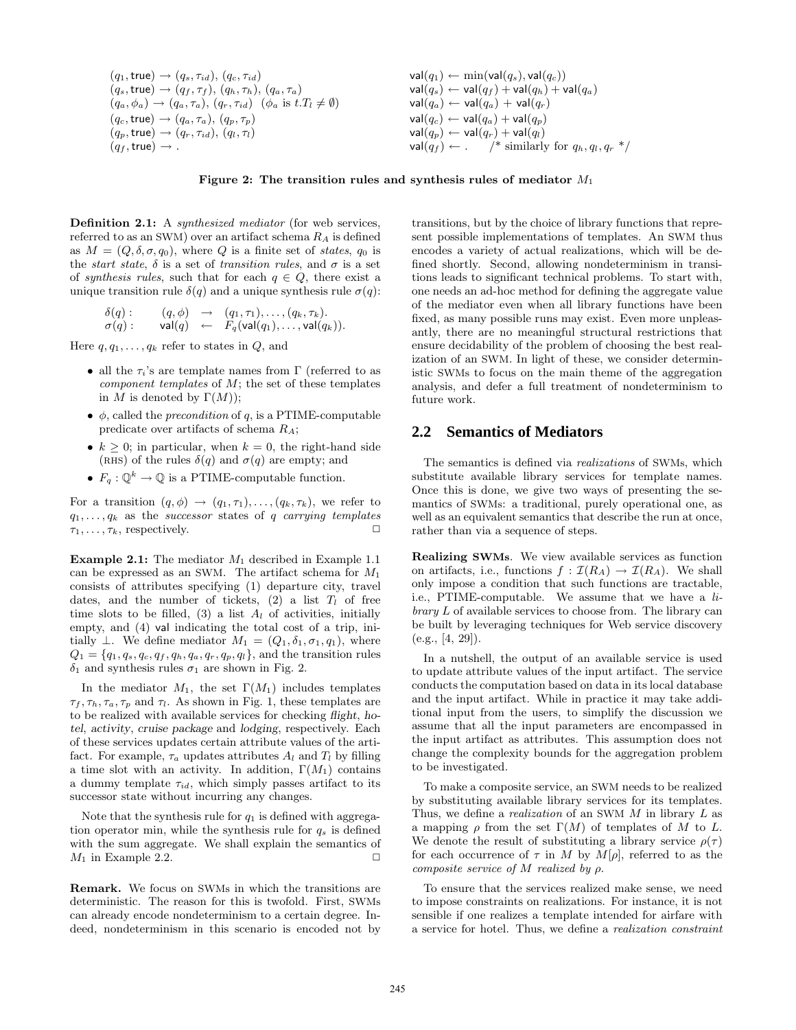$$
(q_1, true) \rightarrow (q_s, \tau_{id}), (q_c, \tau_{id})
$$
\n
$$
(q_s, true) \rightarrow (q_f, \tau_f), (q_h, \tau_h), (q_a, \tau_a)
$$
\n
$$
(q_a, \phi_a) \rightarrow (q_a, \tau_a), (q_r, \tau_{id})
$$
\n
$$
(q_s, true) \rightarrow (q_a, \tau_a), (q_r, \tau_{id})
$$
\n
$$
(q_b, true) \rightarrow (q_a, \tau_a), (q_p, \tau_p)
$$
\n
$$
(q_p, true) \rightarrow (q_r, \tau_{id}), (q_l, \tau_l)
$$
\n
$$
(q_f, true) \rightarrow ...
$$
\n
$$
(q_f, true) \rightarrow ...
$$
\n
$$
(q_f, true) \rightarrow ...
$$
\n
$$
(q_f, true) \rightarrow ...
$$
\n
$$
(q_f, true) \rightarrow ...
$$
\n
$$
(q_f, true) \rightarrow ...
$$
\n
$$
(q_f, true) \rightarrow ...
$$
\n
$$
(q_f, true) \rightarrow ...
$$
\n
$$
(q_f, true) \rightarrow ...
$$
\n
$$
(q_f, true) \rightarrow ...
$$
\n
$$
(q_f, true) \rightarrow ...
$$
\n
$$
(q_f, true) \rightarrow ...
$$
\n
$$
(q_f, true) \rightarrow ...
$$
\n
$$
(q_f, true) \rightarrow ...
$$
\n
$$
(q_f, true) \rightarrow ...
$$
\n
$$
(q_f, true) \rightarrow ...
$$
\n
$$
(q_f, true) \rightarrow ...
$$
\n
$$
(q_f, true) \rightarrow ...
$$
\n
$$
(q_f, true) \rightarrow ...
$$
\n
$$
(q_f, true) \rightarrow ...
$$
\n
$$
(q_f, true) \rightarrow ...
$$
\n
$$
(q_f, true) \rightarrow ...
$$
\n
$$
(q_f, true) \rightarrow ...
$$
\n
$$
(q_f, true) \rightarrow ...
$$
\n
$$
(q_f, true) \rightarrow ...
$$
\n
$$
(q_f, true) \rightarrow ...
$$
\n
$$
(q_f, true) \rightarrow ...
$$
\n
$$
(q_f, true) \rightarrow ...
$$
\n
$$
(q_f, true) \rightarrow ...
$$
\n
$$
(q_f, true) \rightarrow ...
$$
\n
$$
(q_f, true) \rightarrow ...
$$

Figure 2: The transition rules and synthesis rules of mediator  $M_1$ 

Definition 2.1: A *synthesized mediator* (for web services, referred to as an SWM) over an artifact schema  $R_A$  is defined as  $M = (Q, \delta, \sigma, q_0)$ , where Q is a finite set of states,  $q_0$  is the *start state*,  $\delta$  is a set of *transition rules*, and  $\sigma$  is a set of synthesis rules, such that for each  $q \in Q$ , there exist a unique transition rule  $\delta(q)$  and a unique synthesis rule  $\sigma(q)$ :

$$
\begin{array}{rcl}\n\delta(q): & (q,\phi) & \rightarrow & (q_1,\tau_1),\ldots,(q_k,\tau_k). \\
\sigma(q): & \mathsf{val}(q) & \leftarrow & F_q(\mathsf{val}(q_1),\ldots,\mathsf{val}(q_k)).\n\end{array}
$$

Here  $q, q_1, \ldots, q_k$  refer to states in  $Q$ , and

- all the  $\tau_i$ 's are template names from Γ (referred to as component templates of  $M$ ; the set of these templates in M is denoted by  $\Gamma(M)$ ;
- $\phi$ , called the *precondition* of q, is a PTIME-computable predicate over artifacts of schema  $R_A$ ;
- $k > 0$ ; in particular, when  $k = 0$ , the right-hand side (RHS) of the rules  $\delta(q)$  and  $\sigma(q)$  are empty; and
- $F_q: \mathbb{Q}^k \to \mathbb{Q}$  is a PTIME-computable function.

For a transition  $(q, \phi) \rightarrow (q_1, \tau_1), \ldots, (q_k, \tau_k)$ , we refer to  $q_1, \ldots, q_k$  as the *successor* states of q carrying templates  $\tau_1, \ldots, \tau_k$ , respectively.  $\Box$ 

**Example 2.1:** The mediator  $M_1$  described in Example 1.1 can be expressed as an SWM. The artifact schema for  $M_1$ consists of attributes specifying (1) departure city, travel dates, and the number of tickets,  $(2)$  a list  $T_l$  of free time slots to be filled, (3) a list  $A_l$  of activities, initially empty, and (4) val indicating the total cost of a trip, initially  $\perp$ . We define mediator  $M_1 = (Q_1, \delta_1, \sigma_1, q_1)$ , where  $Q_1 = \{q_1, q_s, q_c, q_f, q_h, q_a, q_r, q_p, q_l\}$ , and the transition rules  $\delta_1$  and synthesis rules  $\sigma_1$  are shown in Fig. 2.

In the mediator  $M_1$ , the set  $\Gamma(M_1)$  includes templates  $\tau_f, \tau_h, \tau_a, \tau_p$  and  $\tau_l$ . As shown in Fig. 1, these templates are to be realized with available services for checking flight, hotel, activity, cruise package and lodging, respectively. Each of these services updates certain attribute values of the artifact. For example,  $\tau_a$  updates attributes  $A_l$  and  $T_l$  by filling a time slot with an activity. In addition,  $\Gamma(M_1)$  contains a dummy template  $\tau_{id}$ , which simply passes artifact to its successor state without incurring any changes.

Note that the synthesis rule for  $q_1$  is defined with aggregation operator min, while the synthesis rule for  $q_s$  is defined with the sum aggregate. We shall explain the semantics of  $M_1$  in Example 2.2.

Remark. We focus on SWMs in which the transitions are deterministic. The reason for this is twofold. First, SWMs can already encode nondeterminism to a certain degree. Indeed, nondeterminism in this scenario is encoded not by

transitions, but by the choice of library functions that represent possible implementations of templates. An SWM thus encodes a variety of actual realizations, which will be defined shortly. Second, allowing nondeterminism in transitions leads to significant technical problems. To start with, one needs an ad-hoc method for defining the aggregate value of the mediator even when all library functions have been fixed, as many possible runs may exist. Even more unpleasantly, there are no meaningful structural restrictions that ensure decidability of the problem of choosing the best realization of an SWM. In light of these, we consider deterministic SWMs to focus on the main theme of the aggregation analysis, and defer a full treatment of nondeterminism to future work.

#### **2.2 Semantics of Mediators**

The semantics is defined via realizations of SWMs, which substitute available library services for template names. Once this is done, we give two ways of presenting the semantics of SWMs: a traditional, purely operational one, as well as an equivalent semantics that describe the run at once, rather than via a sequence of steps.

Realizing SWMs. We view available services as function on artifacts, i.e., functions  $f : \mathcal{I}(R_A) \to \mathcal{I}(R_A)$ . We shall only impose a condition that such functions are tractable, i.e., PTIME-computable. We assume that we have a library L of available services to choose from. The library can be built by leveraging techniques for Web service discovery  $(e.g., [4, 29]).$ 

In a nutshell, the output of an available service is used to update attribute values of the input artifact. The service conducts the computation based on data in its local database and the input artifact. While in practice it may take additional input from the users, to simplify the discussion we assume that all the input parameters are encompassed in the input artifact as attributes. This assumption does not change the complexity bounds for the aggregation problem to be investigated.

To make a composite service, an SWM needs to be realized by substituting available library services for its templates. Thus, we define a realization of an SWM M in library L as a mapping  $\rho$  from the set  $\Gamma(M)$  of templates of M to L. We denote the result of substituting a library service  $\rho(\tau)$ for each occurrence of  $\tau$  in M by  $M[\rho]$ , referred to as the composite service of M realized by  $\rho$ .

To ensure that the services realized make sense, we need to impose constraints on realizations. For instance, it is not sensible if one realizes a template intended for airfare with a service for hotel. Thus, we define a realization constraint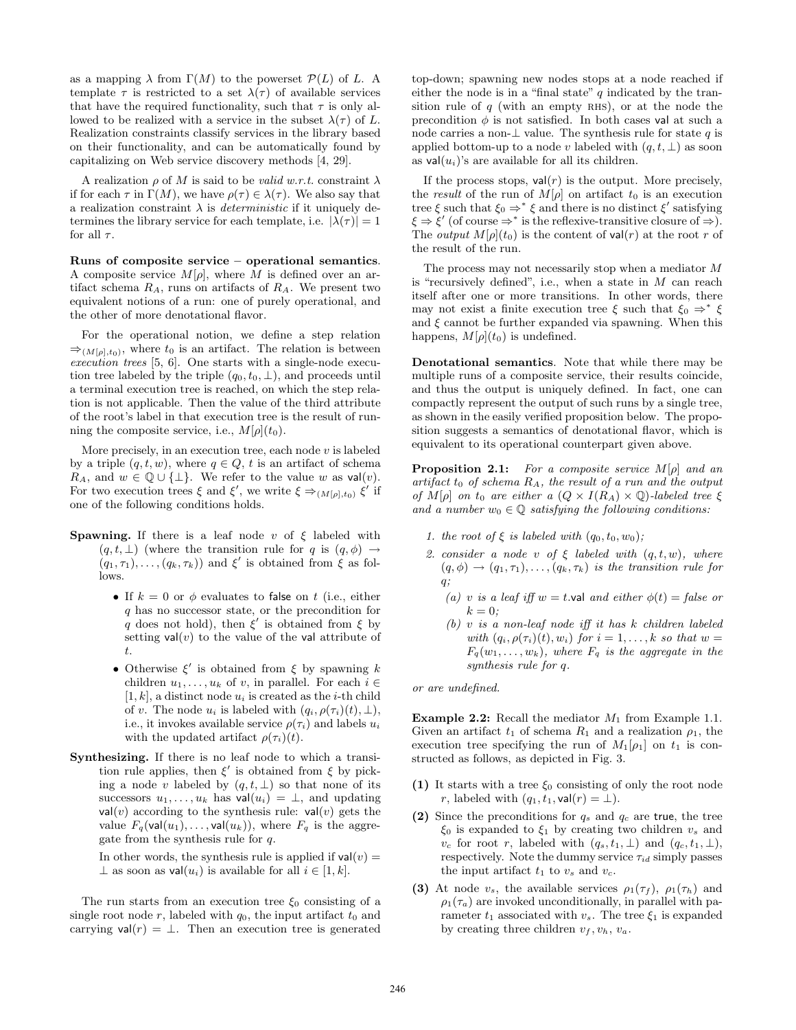as a mapping  $\lambda$  from  $\Gamma(M)$  to the powerset  $\mathcal{P}(L)$  of L. A template  $\tau$  is restricted to a set  $\lambda(\tau)$  of available services that have the required functionality, such that  $\tau$  is only allowed to be realized with a service in the subset  $\lambda(\tau)$  of L. Realization constraints classify services in the library based on their functionality, and can be automatically found by capitalizing on Web service discovery methods [4, 29].

A realization  $\rho$  of M is said to be valid w.r.t. constraint  $\lambda$ if for each  $\tau$  in  $\Gamma(M)$ , we have  $\rho(\tau) \in \lambda(\tau)$ . We also say that a realization constraint  $\lambda$  is *deterministic* if it uniquely determines the library service for each template, i.e.  $|\lambda(\tau)| = 1$ for all  $\tau$ .

Runs of composite service – operational semantics. A composite service  $M[\rho]$ , where M is defined over an artifact schema  $R_A$ , runs on artifacts of  $R_A$ . We present two equivalent notions of a run: one of purely operational, and the other of more denotational flavor.

For the operational notion, we define a step relation  $\Rightarrow_{(M[\rho],t_0)}$ , where  $t_0$  is an artifact. The relation is between execution trees [5, 6]. One starts with a single-node execution tree labeled by the triple  $(q_0, t_0, \perp)$ , and proceeds until a terminal execution tree is reached, on which the step relation is not applicable. Then the value of the third attribute of the root's label in that execution tree is the result of running the composite service, i.e.,  $M[\rho](t_0)$ .

More precisely, in an execution tree, each node  $v$  is labeled by a triple  $(q, t, w)$ , where  $q \in Q$ , t is an artifact of schema  $R_A$ , and  $w \in \mathbb{Q} \cup \{\perp\}$ . We refer to the value w as val(v). For two execution trees  $\xi$  and  $\xi'$ , we write  $\xi \Rightarrow_{(M[\rho],t_0)} \xi'$  if one of the following conditions holds.

- **Spawning.** If there is a leaf node v of  $\xi$  labeled with  $(q, t, \perp)$  (where the transition rule for q is  $(q, \phi) \rightarrow$  $(q_1, \tau_1), \ldots, (q_k, \tau_k)$  and  $\xi'$  is obtained from  $\xi$  as follows.
	- If  $k = 0$  or  $\phi$  evaluates to false on t (i.e., either q has no successor state, or the precondition for q does not hold), then  $\xi'$  is obtained from  $\xi$  by setting  $val(v)$  to the value of the valuattribute of t.
	- Otherwise  $\xi'$  is obtained from  $\xi$  by spawning k children  $u_1, \ldots, u_k$  of v, in parallel. For each  $i \in$  $[1, k]$ , a distinct node  $u_i$  is created as the *i*-th child of v. The node  $u_i$  is labeled with  $(q_i, \rho(\tau_i)(t), \perp)$ , i.e., it invokes available service  $\rho(\tau_i)$  and labels  $u_i$ with the updated artifact  $\rho(\tau_i)(t)$ .
- Synthesizing. If there is no leaf node to which a transition rule applies, then  $\xi'$  is obtained from  $\xi$  by picking a node v labeled by  $(q, t, \perp)$  so that none of its successors  $u_1, \ldots, u_k$  has val $(u_i) = \perp$ , and updating  $val(v)$  according to the synthesis rule:  $val(v)$  gets the value  $F_q(\text{val}(u_1), \ldots, \text{val}(u_k))$ , where  $F_q$  is the aggregate from the synthesis rule for q.

In other words, the synthesis rule is applied if  $val(v) =$  $\perp$  as soon as val $(u_i)$  is available for all  $i \in [1, k]$ .

The run starts from an execution tree  $\xi_0$  consisting of a single root node r, labeled with  $q_0$ , the input artifact  $t_0$  and carrying val $(r) = \perp$ . Then an execution tree is generated

top-down; spawning new nodes stops at a node reached if either the node is in a "final state"  $q$  indicated by the transition rule of  $q$  (with an empty RHS), or at the node the precondition  $\phi$  is not satisfied. In both cases val at such a node carries a non- $\perp$  value. The synthesis rule for state q is applied bottom-up to a node v labeled with  $(q, t, \perp)$  as soon as val $(u_i)$ 's are available for all its children.

If the process stops,  $val(r)$  is the output. More precisely, the result of the run of  $M[\rho]$  on artifact  $t_0$  is an execution tree  $\xi$  such that  $\xi_0 \Rightarrow^* \xi$  and there is no distinct  $\xi'$  satisfying  $\xi \Rightarrow \xi'$  (of course  $\Rightarrow^*$  is the reflexive-transitive closure of  $\Rightarrow$ ). The *output*  $M[\rho](t_0)$  is the content of val(r) at the root r of the result of the run.

The process may not necessarily stop when a mediator M is "recursively defined", i.e., when a state in  $M$  can reach itself after one or more transitions. In other words, there may not exist a finite execution tree  $\xi$  such that  $\xi_0 \Rightarrow^* \xi$ and  $\xi$  cannot be further expanded via spawning. When this happens,  $M[\rho](t_0)$  is undefined.

Denotational semantics. Note that while there may be multiple runs of a composite service, their results coincide, and thus the output is uniquely defined. In fact, one can compactly represent the output of such runs by a single tree, as shown in the easily verified proposition below. The proposition suggests a semantics of denotational flavor, which is equivalent to its operational counterpart given above.

**Proposition 2.1:** For a composite service  $M[\rho]$  and an artifact  $t_0$  of schema  $R_A$ , the result of a run and the output of  $M[\rho]$  on to are either a  $(Q \times I(R_A) \times \mathbb{Q})$ -labeled tree  $\xi$ and a number  $w_0 \in \mathbb{Q}$  satisfying the following conditions:

- 1. the root of  $\xi$  is labeled with  $(q_0, t_0, w_0)$ ;
- 2. consider a node v of  $\xi$  labeled with  $(q, t, w)$ , where  $(q, \phi) \rightarrow (q_1, \tau_1), \ldots, (q_k, \tau_k)$  is the transition rule for q;
	- (a) v is a leaf iff  $w = t$ .val and either  $\phi(t) = false$  or  $k=0$ :
	- (b) v is a non-leaf node iff it has k children labeled with  $(q_i, \rho(\tau_i)(t), w_i)$  for  $i = 1, \ldots, k$  so that  $w =$  $F_q(w_1, \ldots, w_k)$ , where  $F_q$  is the aggregate in the synthesis rule for q.

or are undefined.

**Example 2.2:** Recall the mediator  $M_1$  from Example 1.1. Given an artifact  $t_1$  of schema  $R_1$  and a realization  $\rho_1$ , the execution tree specifying the run of  $M_1[\rho_1]$  on  $t_1$  is constructed as follows, as depicted in Fig. 3.

- (1) It starts with a tree  $\xi_0$  consisting of only the root node r, labeled with  $(q_1, t_1, \text{val}(r) = \bot)$ .
- (2) Since the preconditions for  $q_s$  and  $q_c$  are true, the tree  $\xi_0$  is expanded to  $\xi_1$  by creating two children  $v_s$  and  $v_c$  for root r, labeled with  $(q_s, t_1, \perp)$  and  $(q_c, t_1, \perp)$ , respectively. Note the dummy service  $\tau_{id}$  simply passes the input artifact  $t_1$  to  $v_s$  and  $v_c$ .
- (3) At node  $v_s$ , the available services  $\rho_1(\tau_f)$ ,  $\rho_1(\tau_h)$  and  $\rho_1(\tau_a)$  are invoked unconditionally, in parallel with parameter  $t_1$  associated with  $v_s$ . The tree  $\xi_1$  is expanded by creating three children  $v_f, v_h, v_a$ .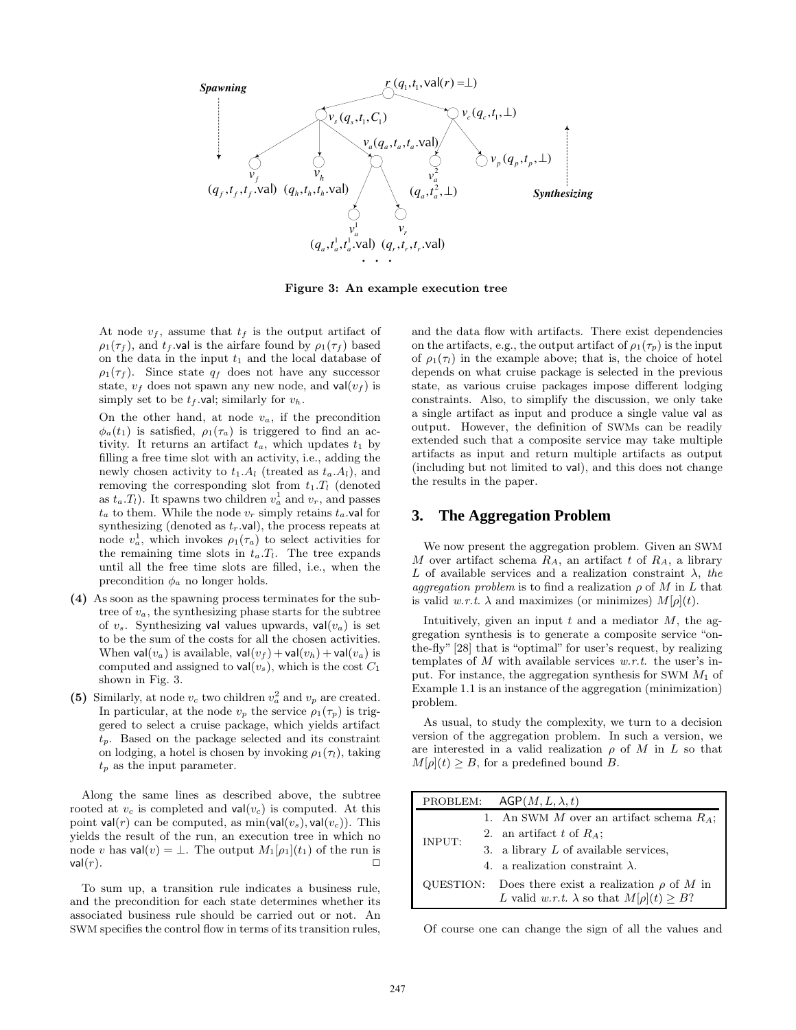

Figure 3: An example execution tree

At node  $v_f$ , assume that  $t_f$  is the output artifact of  $\rho_1(\tau_f)$ , and  $t_f$  val is the airfare found by  $\rho_1(\tau_f)$  based on the data in the input  $t_1$  and the local database of  $\rho_1(\tau_f)$ . Since state  $q_f$  does not have any successor state,  $v_f$  does not spawn any new node, and val $(v_f)$  is simply set to be  $t_f$  val; similarly for  $v_h$ .

On the other hand, at node  $v_a$ , if the precondition  $\phi_a(t_1)$  is satisfied,  $\rho_1(\tau_a)$  is triggered to find an activity. It returns an artifact  $t_a$ , which updates  $t_1$  by filling a free time slot with an activity, i.e., adding the newly chosen activity to  $t_1.A_l$  (treated as  $t_a.A_l$ ), and removing the corresponding slot from  $t_1.T_l$  (denoted as  $t_a$ .  $T_l$ ). It spawns two children  $v_a^1$  and  $v_r$ , and passes  $t_a$  to them. While the node  $v_r$  simply retains  $t_a$  val for synthesizing (denoted as  $t_r$  val), the process repeats at node  $v_a^1$ , which invokes  $\rho_1(\tau_a)$  to select activities for the remaining time slots in  $t_a.T_l$ . The tree expands until all the free time slots are filled, i.e., when the precondition  $\phi_a$  no longer holds.

- (4) As soon as the spawning process terminates for the subtree of  $v_a$ , the synthesizing phase starts for the subtree of  $v_s$ . Synthesizing val values upwards, val $(v_a)$  is set to be the sum of the costs for all the chosen activities. When val $(v_a)$  is available, val $(v_f)$  + val $(v_h)$  + val $(v_a)$  is computed and assigned to  $val(v_s)$ , which is the cost  $C_1$ shown in Fig. 3.
- (5) Similarly, at node  $v_c$  two children  $v_a^2$  and  $v_p$  are created. In particular, at the node  $v_p$  the service  $\rho_1(\tau_p)$  is triggered to select a cruise package, which yields artifact  $t_p$ . Based on the package selected and its constraint on lodging, a hotel is chosen by invoking  $\rho_1(\tau_l)$ , taking  $t_p$  as the input parameter.

Along the same lines as described above, the subtree rooted at  $v_c$  is completed and val $(v_c)$  is computed. At this point val(r) can be computed, as  $min(va|(v_s), val(v_c))$ . This yields the result of the run, an execution tree in which no node v has val $(v) = \perp$ . The output  $M_1[\rho_1](t_1)$  of the run is  $val(r)$ .

To sum up, a transition rule indicates a business rule, and the precondition for each state determines whether its associated business rule should be carried out or not. An SWM specifies the control flow in terms of its transition rules, and the data flow with artifacts. There exist dependencies on the artifacts, e.g., the output artifact of  $\rho_1(\tau_p)$  is the input of  $\rho_1(\tau)$  in the example above; that is, the choice of hotel depends on what cruise package is selected in the previous state, as various cruise packages impose different lodging constraints. Also, to simplify the discussion, we only take a single artifact as input and produce a single value val as output. However, the definition of SWMs can be readily extended such that a composite service may take multiple artifacts as input and return multiple artifacts as output (including but not limited to val), and this does not change the results in the paper.

### **3. The Aggregation Problem**

We now present the aggregation problem. Given an SWM M over artifact schema  $R_A$ , an artifact t of  $R_A$ , a library L of available services and a realization constraint  $\lambda$ , the aggregation problem is to find a realization  $\rho$  of M in L that is valid w.r.t.  $\lambda$  and maximizes (or minimizes)  $M[\rho](t)$ .

Intuitively, given an input  $t$  and a mediator  $M$ , the aggregation synthesis is to generate a composite service "onthe-fly" [28] that is "optimal" for user's request, by realizing templates of M with available services  $w.r.t.$  the user's input. For instance, the aggregation synthesis for SWM  $M_1$  of Example 1.1 is an instance of the aggregation (minimization) problem.

As usual, to study the complexity, we turn to a decision version of the aggregation problem. In such a version, we are interested in a valid realization  $\rho$  of M in L so that  $M[\rho](t) \geq B$ , for a predefined bound B.

|               |  | PROBLEM: $AGP(M, L, \lambda, t)$                                                                                  |
|---------------|--|-------------------------------------------------------------------------------------------------------------------|
| <b>INPUT:</b> |  | 1. An SWM M over an artifact schema $R_A$ ;                                                                       |
|               |  | 2. an artifact t of $R_A$ ;                                                                                       |
|               |  | 3. a library $L$ of available services,                                                                           |
|               |  | 4. a realization constraint $\lambda$ .                                                                           |
|               |  | QUESTION: Does there exist a realization $\rho$ of M in<br>L valid w.r.t. $\lambda$ so that $M[\rho](t) \geq B$ ? |

Of course one can change the sign of all the values and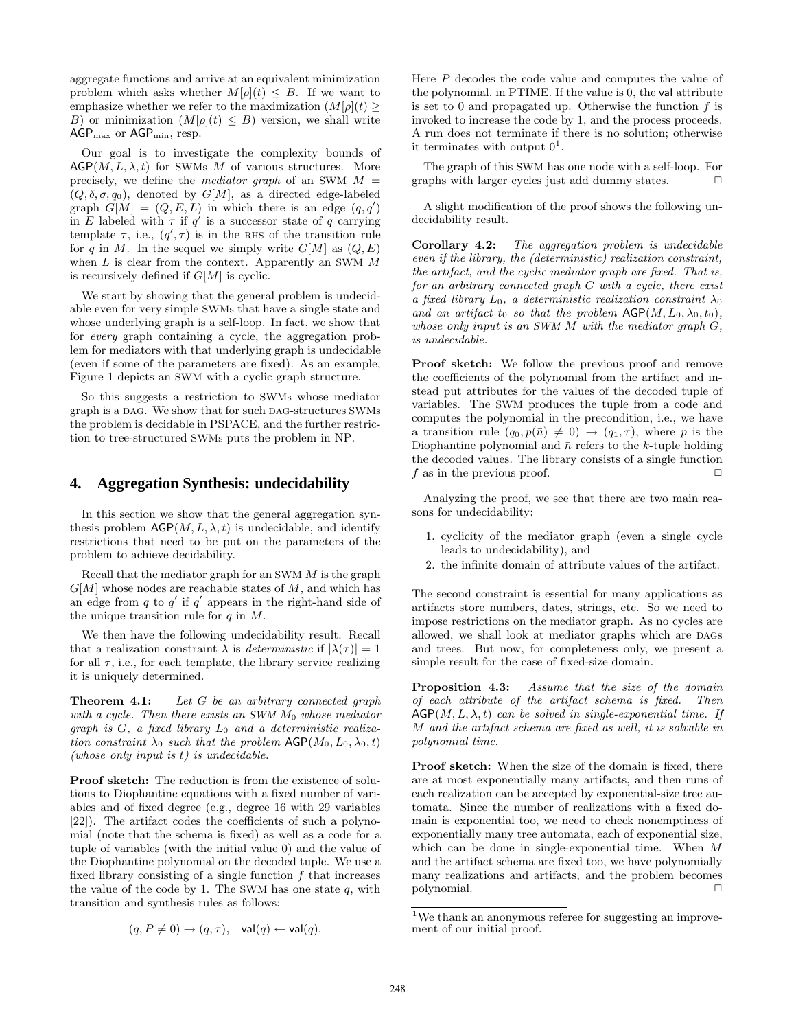aggregate functions and arrive at an equivalent minimization problem which asks whether  $M[\rho](t) \leq B$ . If we want to emphasize whether we refer to the maximization  $(M[\rho](t))$ B) or minimization  $(M[\rho](t) \leq B)$  version, we shall write  $AGP_{\text{max}}$  or  $AGP_{\text{min}}$ , resp.

Our goal is to investigate the complexity bounds of  $AGP(M, L, \lambda, t)$  for SWMs M of various structures. More precisely, we define the mediator graph of an SWM  $M =$  $(Q, \delta, \sigma, q_0)$ , denoted by  $G[M]$ , as a directed edge-labeled graph  $G[M] = (Q, E, L)$  in which there is an edge  $(q, q')$ in E labeled with  $\tau$  if  $q'$  is a successor state of q carrying template  $\tau$ , i.e.,  $(q', \tau)$  is in the RHS of the transition rule for q in M. In the sequel we simply write  $G[M]$  as  $(Q, E)$ when  $L$  is clear from the context. Apparently an SWM  $M$ is recursively defined if  $G[M]$  is cyclic.

We start by showing that the general problem is undecidable even for very simple SWMs that have a single state and whose underlying graph is a self-loop. In fact, we show that for every graph containing a cycle, the aggregation problem for mediators with that underlying graph is undecidable (even if some of the parameters are fixed). As an example, Figure 1 depicts an SWM with a cyclic graph structure.

So this suggests a restriction to SWMs whose mediator graph is a DAG. We show that for such DAG-structures SWMs the problem is decidable in PSPACE, and the further restriction to tree-structured SWMs puts the problem in NP.

#### **4. Aggregation Synthesis: undecidability**

In this section we show that the general aggregation synthesis problem  $AGP(M, L, \lambda, t)$  is undecidable, and identify restrictions that need to be put on the parameters of the problem to achieve decidability.

Recall that the mediator graph for an SWM  $M$  is the graph  $G[M]$  whose nodes are reachable states of M, and which has an edge from  $q$  to  $q'$  if  $q'$  appears in the right-hand side of the unique transition rule for  $q$  in  $M$ .

We then have the following undecidability result. Recall that a realization constraint  $\lambda$  is *deterministic* if  $|\lambda(\tau)| = 1$ for all  $\tau$ , i.e., for each template, the library service realizing it is uniquely determined.

**Theorem 4.1:** Let G be an arbitrary connected graph with a cycle. Then there exists an SWM  $M_0$  whose mediator graph is  $G$ , a fixed library  $L_0$  and a deterministic realization constraint  $\lambda_0$  such that the problem  $\mathsf{AGP}(M_0, L_0, \lambda_0, t)$ (whose only input is  $t$ ) is undecidable.

Proof sketch: The reduction is from the existence of solutions to Diophantine equations with a fixed number of variables and of fixed degree (e.g., degree 16 with 29 variables [22]). The artifact codes the coefficients of such a polynomial (note that the schema is fixed) as well as a code for a tuple of variables (with the initial value 0) and the value of the Diophantine polynomial on the decoded tuple. We use a fixed library consisting of a single function  $f$  that increases the value of the code by 1. The SWM has one state  $q$ , with transition and synthesis rules as follows:

$$
(q, P \neq 0) \rightarrow (q, \tau), \quad \text{val}(q) \leftarrow \text{val}(q).
$$

Here P decodes the code value and computes the value of the polynomial, in PTIME. If the value is 0, the val attribute is set to 0 and propagated up. Otherwise the function  $f$  is invoked to increase the code by 1, and the process proceeds. A run does not terminate if there is no solution; otherwise it terminates with output  $0^1$ .

The graph of this SWM has one node with a self-loop. For graphs with larger cycles just add dummy states.  $\Box$ 

A slight modification of the proof shows the following undecidability result.

Corollary 4.2: The aggregation problem is undecidable even if the library, the (deterministic) realization constraint, the artifact, and the cyclic mediator graph are fixed. That is, for an arbitrary connected graph G with a cycle, there exist a fixed library  $L_0$ , a deterministic realization constraint  $\lambda_0$ and an artifact  $t_0$  so that the problem  $\mathsf{AGP}(M, L_0, \lambda_0, t_0)$ , whose only input is an SWM  $M$  with the mediator graph  $G$ , is undecidable.

Proof sketch: We follow the previous proof and remove the coefficients of the polynomial from the artifact and instead put attributes for the values of the decoded tuple of variables. The SWM produces the tuple from a code and computes the polynomial in the precondition, i.e., we have a transition rule  $(q_0, p(\bar{n}) \neq 0) \rightarrow (q_1, \tau)$ , where p is the Diophantine polynomial and  $\bar{n}$  refers to the k-tuple holding the decoded values. The library consists of a single function f as in the previous proof.  $\Box$ 

Analyzing the proof, we see that there are two main reasons for undecidability:

- 1. cyclicity of the mediator graph (even a single cycle leads to undecidability), and
- 2. the infinite domain of attribute values of the artifact.

The second constraint is essential for many applications as artifacts store numbers, dates, strings, etc. So we need to impose restrictions on the mediator graph. As no cycles are allowed, we shall look at mediator graphs which are DAGs and trees. But now, for completeness only, we present a simple result for the case of fixed-size domain.

Proposition 4.3: Assume that the size of the domain of each attribute of the artifact schema is fixed. Then  $AGP(M, L, \lambda, t)$  can be solved in single-exponential time. If M and the artifact schema are fixed as well, it is solvable in polynomial time.

Proof sketch: When the size of the domain is fixed, there are at most exponentially many artifacts, and then runs of each realization can be accepted by exponential-size tree automata. Since the number of realizations with a fixed domain is exponential too, we need to check nonemptiness of exponentially many tree automata, each of exponential size, which can be done in single-exponential time. When M and the artifact schema are fixed too, we have polynomially many realizations and artifacts, and the problem becomes  $\Box$   $\Box$ 

<sup>&</sup>lt;sup>1</sup>We thank an anonymous referee for suggesting an improvement of our initial proof.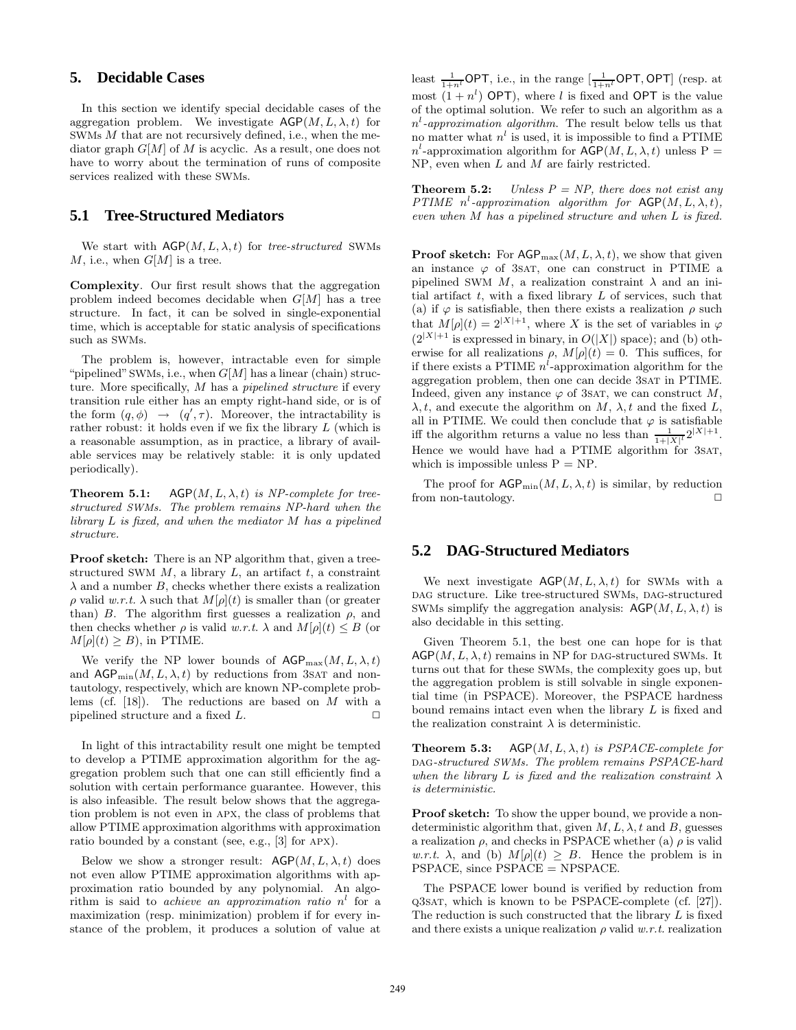## **5. Decidable Cases**

In this section we identify special decidable cases of the aggregation problem. We investigate  $AGP(M, L, \lambda, t)$  for SWMs  $M$  that are not recursively defined, i.e., when the mediator graph  $G[M]$  of M is acyclic. As a result, one does not have to worry about the termination of runs of composite services realized with these SWMs.

## **5.1 Tree-Structured Mediators**

We start with  $AGP(M, L, \lambda, t)$  for tree-structured SWMs  $M$ , i.e., when  $G[M]$  is a tree.

Complexity. Our first result shows that the aggregation problem indeed becomes decidable when  $G[M]$  has a tree structure. In fact, it can be solved in single-exponential time, which is acceptable for static analysis of specifications such as SWMs.

The problem is, however, intractable even for simple "pipelined" SWMs, i.e., when  $G[M]$  has a linear (chain) structure. More specifically,  $M$  has a *pipelined structure* if every transition rule either has an empty right-hand side, or is of the form  $(q, \phi) \rightarrow (q', \tau)$ . Moreover, the intractability is rather robust: it holds even if we fix the library  $L$  (which is a reasonable assumption, as in practice, a library of available services may be relatively stable: it is only updated periodically).

**Theorem 5.1:** AGP $(M, L, \lambda, t)$  is NP-complete for treestructured SWMs. The problem remains NP-hard when the library  $L$  is fixed, and when the mediator  $M$  has a pipelined structure.

Proof sketch: There is an NP algorithm that, given a treestructured SWM  $M$ , a library  $L$ , an artifact  $t$ , a constraint  $\lambda$  and a number B, checks whether there exists a realization  $\rho$  valid w.r.t.  $\lambda$  such that  $M[\rho](t)$  is smaller than (or greater than) B. The algorithm first guesses a realization  $\rho$ , and then checks whether  $\rho$  is valid w.r.t.  $\lambda$  and  $M[\rho](t) \leq B$  (or  $M[\rho](t) \geq B$ ), in PTIME.

We verify the NP lower bounds of  $\mathsf{AGP}_{\max}(M, L, \lambda, t)$ and  $\mathsf{AGP}_{\min}(M, L, \lambda, t)$  by reductions from 3SAT and nontautology, respectively, which are known NP-complete problems (cf.  $[18]$ ). The reductions are based on  $M$  with a pipelined structure and a fixed  $L$ .  $\Box$ 

In light of this intractability result one might be tempted to develop a PTIME approximation algorithm for the aggregation problem such that one can still efficiently find a solution with certain performance guarantee. However, this is also infeasible. The result below shows that the aggregation problem is not even in apx, the class of problems that allow PTIME approximation algorithms with approximation ratio bounded by a constant (see, e.g., [3] for apx).

Below we show a stronger result:  $AGP(M, L, \lambda, t)$  does not even allow PTIME approximation algorithms with approximation ratio bounded by any polynomial. An algorithm is said to *achieve an approximation ratio*  $n^l$  for a maximization (resp. minimization) problem if for every instance of the problem, it produces a solution of value at

least  $\frac{1}{1+n^l}$ OPT, i.e., in the range  $\left[\frac{1}{1+n^l}$ OPT, OPT] (resp. at most  $(1 + n^{l})$  OPT), where l is fixed and OPT is the value of the optimal solution. We refer to such an algorithm as a  $n<sup>l</sup>$ -approximation algorithm. The result below tells us that no matter what  $n^l$  is used, it is impossible to find a PTIME  $n^{l}$ -approximation algorithm for  $\mathsf{AGP}(M, L, \lambda, t)$  unless P =  $NP$ , even when  $L$  and  $M$  are fairly restricted.

**Theorem 5.2:** Unless  $P = NP$ , there does not exist any PTIME  $n^l$ -approximation algorithm for  $AGP(M, L, \lambda, t)$ , even when M has a pipelined structure and when L is fixed.

**Proof sketch:** For  $\mathsf{AGP}_{\max}(M, L, \lambda, t)$ , we show that given an instance  $\varphi$  of 3sat, one can construct in PTIME a pipelined SWM M, a realization constraint  $\lambda$  and an initial artifact  $t$ , with a fixed library  $L$  of services, such that (a) if  $\varphi$  is satisfiable, then there exists a realization  $\rho$  such that  $M[\rho](t) = 2^{|X|+1}$ , where X is the set of variables in  $\varphi$  $(2^{|X|+1}$  is expressed in binary, in  $O(|X|)$  space); and (b) otherwise for all realizations  $\rho$ ,  $M[\rho](t) = 0$ . This suffices, for if there exists a PTIME  $n^{l}$ -approximation algorithm for the aggregation problem, then one can decide 3SAT in PTIME. Indeed, given any instance  $\varphi$  of 3sat, we can construct M,  $\lambda, t$ , and execute the algorithm on M,  $\lambda, t$  and the fixed L, all in PTIME. We could then conclude that  $\varphi$  is satisfiable iff the algorithm returns a value no less than  $\frac{1}{1+|X|^l} 2^{|X|+1}$ . Hence we would have had a PTIME algorithm for 3SAT, which is impossible unless  $P = NP$ .

The proof for  $\mathsf{AGP}_{\min}(M, L, \lambda, t)$  is similar, by reduction from non-tautology.  $\Box$ 

### **5.2 DAG-Structured Mediators**

We next investigate  $AGP(M, L, \lambda, t)$  for SWMs with a DAG structure. Like tree-structured SWMs, DAG-structured SWMs simplify the aggregation analysis:  $AGP(M, L, \lambda, t)$  is also decidable in this setting.

Given Theorem 5.1, the best one can hope for is that  $AGP(M, L, \lambda, t)$  remains in NP for DAG-structured SWMs. It turns out that for these SWMs, the complexity goes up, but the aggregation problem is still solvable in single exponential time (in PSPACE). Moreover, the PSPACE hardness bound remains intact even when the library L is fixed and the realization constraint  $\lambda$  is deterministic.

**Theorem 5.3:** AGP $(M, L, \lambda, t)$  is PSPACE-complete for DAG-structured SWMs. The problem remains PSPACE-hard when the library L is fixed and the realization constraint  $\lambda$ is deterministic.

Proof sketch: To show the upper bound, we provide a nondeterministic algorithm that, given  $M, L, \lambda, t$  and B, guesses a realization  $\rho$ , and checks in PSPACE whether (a)  $\rho$  is valid w.r.t.  $\lambda$ , and (b)  $M[\rho](t) > B$ . Hence the problem is in  $PSPACE$ , since  $PSPACE = NPSPACE$ .

The PSPACE lower bound is verified by reduction from q3sat, which is known to be PSPACE-complete (cf. [27]). The reduction is such constructed that the library  $L$  is fixed and there exists a unique realization  $\rho$  valid w.r.t. realization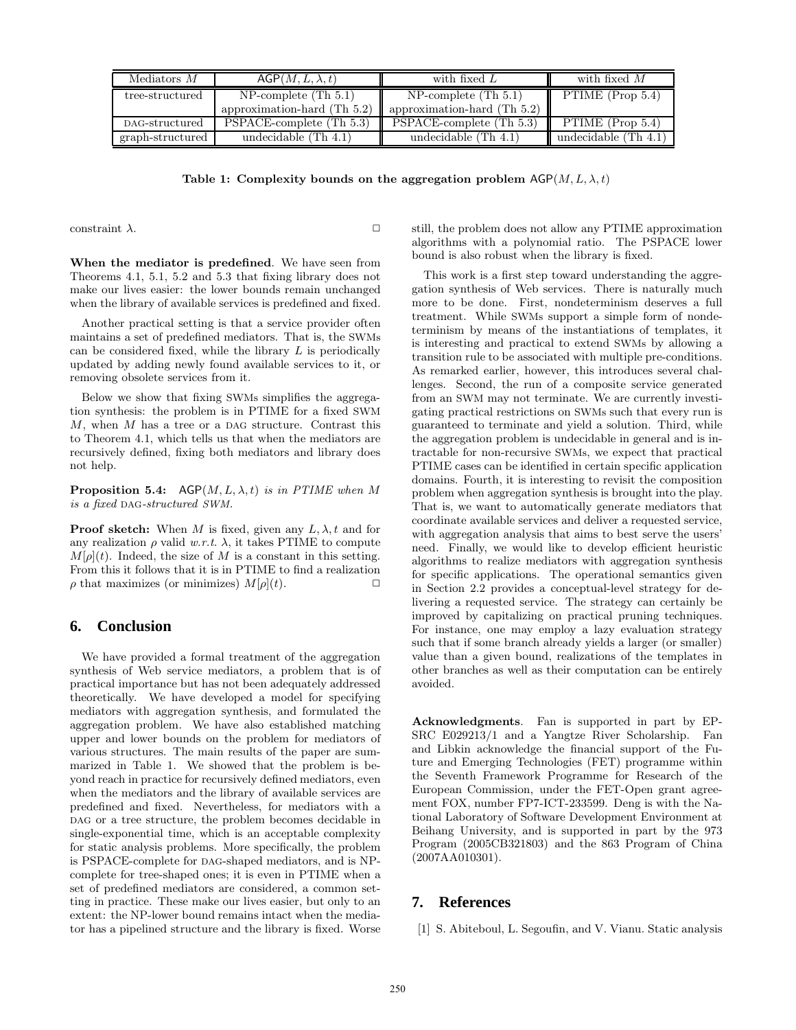| Mediators $M$    | $AGP(M, L, \lambda, t)$     | with fixed $L$                | with fixed $M$       |
|------------------|-----------------------------|-------------------------------|----------------------|
| tree-structured  | $NP$ -complete (Th 5.1)     | $NP$ -complete (Th 5.1)       | PTIME (Prop 5.4)     |
|                  | approximation-hard (Th 5.2) | approximation-hard (Th 5.2)   |                      |
| DAG-structured   | PSPACE-complete (Th 5.3)    | PSPACE-complete (Th 5.3)<br>Ш | PTIME $(Prop 5.4)$   |
| graph-structured | undecidable $(Th 4.1)$      | undecidable $(Th 4.1)$        | undecidable (Th 4.1) |

Table 1: Complexity bounds on the aggregation problem  $AGP(M, L, \lambda, t)$ 

constraint  $\lambda$ .

When the mediator is predefined. We have seen from Theorems 4.1, 5.1, 5.2 and 5.3 that fixing library does not make our lives easier: the lower bounds remain unchanged when the library of available services is predefined and fixed.

Another practical setting is that a service provider often maintains a set of predefined mediators. That is, the SWMs can be considered fixed, while the library  $L$  is periodically updated by adding newly found available services to it, or removing obsolete services from it.

Below we show that fixing SWMs simplifies the aggregation synthesis: the problem is in PTIME for a fixed SWM  $M$ , when  $M$  has a tree or a DAG structure. Contrast this to Theorem 4.1, which tells us that when the mediators are recursively defined, fixing both mediators and library does not help.

**Proposition 5.4:** AGP $(M, L, \lambda, t)$  is in PTIME when M is a fixed DAG-structured SWM.

**Proof sketch:** When M is fixed, given any  $L, \lambda, t$  and for any realization  $\rho$  valid w.r.t.  $\lambda$ , it takes PTIME to compute  $M[\rho](t)$ . Indeed, the size of M is a constant in this setting. From this it follows that it is in PTIME to find a realization  $\rho$  that maximizes (or minimizes)  $M[\rho](t)$ .

## **6. Conclusion**

We have provided a formal treatment of the aggregation synthesis of Web service mediators, a problem that is of practical importance but has not been adequately addressed theoretically. We have developed a model for specifying mediators with aggregation synthesis, and formulated the aggregation problem. We have also established matching upper and lower bounds on the problem for mediators of various structures. The main results of the paper are summarized in Table 1. We showed that the problem is beyond reach in practice for recursively defined mediators, even when the mediators and the library of available services are predefined and fixed. Nevertheless, for mediators with a DAG or a tree structure, the problem becomes decidable in single-exponential time, which is an acceptable complexity for static analysis problems. More specifically, the problem is PSPACE-complete for DAG-shaped mediators, and is NPcomplete for tree-shaped ones; it is even in PTIME when a set of predefined mediators are considered, a common setting in practice. These make our lives easier, but only to an extent: the NP-lower bound remains intact when the mediator has a pipelined structure and the library is fixed. Worse

still, the problem does not allow any PTIME approximation algorithms with a polynomial ratio. The PSPACE lower bound is also robust when the library is fixed.

This work is a first step toward understanding the aggregation synthesis of Web services. There is naturally much more to be done. First, nondeterminism deserves a full treatment. While SWMs support a simple form of nondeterminism by means of the instantiations of templates, it is interesting and practical to extend SWMs by allowing a transition rule to be associated with multiple pre-conditions. As remarked earlier, however, this introduces several challenges. Second, the run of a composite service generated from an SWM may not terminate. We are currently investigating practical restrictions on SWMs such that every run is guaranteed to terminate and yield a solution. Third, while the aggregation problem is undecidable in general and is intractable for non-recursive SWMs, we expect that practical PTIME cases can be identified in certain specific application domains. Fourth, it is interesting to revisit the composition problem when aggregation synthesis is brought into the play. That is, we want to automatically generate mediators that coordinate available services and deliver a requested service, with aggregation analysis that aims to best serve the users' need. Finally, we would like to develop efficient heuristic algorithms to realize mediators with aggregation synthesis for specific applications. The operational semantics given in Section 2.2 provides a conceptual-level strategy for delivering a requested service. The strategy can certainly be improved by capitalizing on practical pruning techniques. For instance, one may employ a lazy evaluation strategy such that if some branch already yields a larger (or smaller) value than a given bound, realizations of the templates in other branches as well as their computation can be entirely avoided.

Acknowledgments. Fan is supported in part by EP-SRC E029213/1 and a Yangtze River Scholarship. Fan and Libkin acknowledge the financial support of the Future and Emerging Technologies (FET) programme within the Seventh Framework Programme for Research of the European Commission, under the FET-Open grant agreement FOX, number FP7-ICT-233599. Deng is with the National Laboratory of Software Development Environment at Beihang University, and is supported in part by the 973 Program (2005CB321803) and the 863 Program of China (2007AA010301).

## **7. References**

[1] S. Abiteboul, L. Segoufin, and V. Vianu. Static analysis